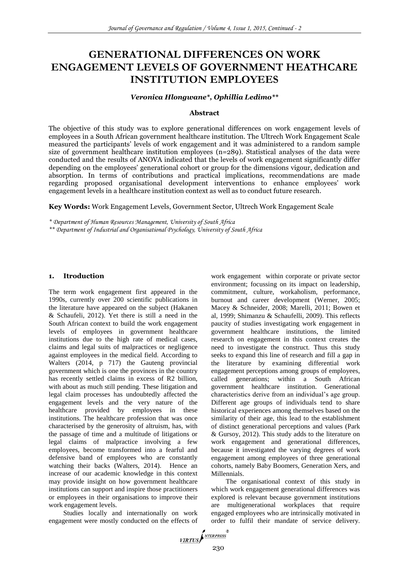# **GENERATIONAL DIFFERENCES ON WORK ENGAGEMENT LEVELS OF GOVERNMENT HEATHCARE INSTITUTION EMPLOYEES**

#### *Veronica Hlongwane\*, Ophillia Ledimo\*\**

#### **Abstract**

The objective of this study was to explore generational differences on work engagement levels of employees in a South African government healthcare institution. The Ultrech Work Engagement Scale measured the participants' levels of work engagement and it was administered to a random sample size of government healthcare institution employees  $(n=289)$ . Statistical analyses of the data were conducted and the results of ANOVA indicated that the levels of work engagement significantly differ depending on the employees' generational cohort or group for the dimensions vigour, dedication and absorption. In terms of contributions and practical implications, recommendations are made regarding proposed organisational development interventions to enhance employees' work engagement levels in a healthcare institution context as well as to conduct future research.

**Key Words:** Work Engagement Levels, Government Sector, Ultrech Work Engagement Scale

*\* Department of Human Resources Management, University of South Africa*

*\*\* Department of Industrial and Organisational Psychology, University of South Africa*

### **1. Itroduction**

The term work engagement first appeared in the 1990s, currently over 200 scientific publications in the literature have appeared on the subject (Hakanen & Schaufeli, 2012). Yet there is still a need in the South African context to build the work engagement levels of employees in government healthcare institutions due to the high rate of medical cases, claims and legal suits of malpractices or negligence against employees in the medical field. According to Walters (2014, p 717) the Gauteng provincial government which is one the provinces in the country has recently settled claims in excess of R2 billion, with about as much still pending. These litigation and legal claim processes has undoubtedly affected the engagement levels and the very nature of the healthcare provided by employees in these institutions. The healthcare profession that was once characterised by the generosity of altruism, has, with the passage of time and a multitude of litigations or legal claims of malpractice involving a few employees, become transformed into a fearful and defensive band of employees who are constantly watching their backs (Walters, 2014). Hence an increase of our academic knowledge in this context may provide insight on how government healthcare institutions can support and inspire those practitioners or employees in their organisations to improve their work engagement levels.

Studies locally and internationally on work engagement were mostly conducted on the effects of work engagement within corporate or private sector environment; focussing on its impact on leadership, commitment, culture, workaholism, performance, burnout and career development (Werner, 2005; Macey & Schneider, 2008; Marelli, 2011; Bowen et al, 1999; Shimanzu & Schaufelli, 2009). This reflects paucity of studies investigating work engagement in government healthcare institutions, the limited research on engagement in this context creates the need to investigate the construct. Thus this study seeks to expand this line of research and fill a gap in the literature by examining differential work engagement perceptions among groups of employees, called generations; within a South African government healthcare institution. Generational characteristics derive from an individual's age group. Different age groups of individuals tend to share historical experiences among themselves based on the similarity of their age, this lead to the establishment of distinct generational perceptions and values (Park & Gursoy, 2012). This study adds to the literature on work engagement and generational differences, because it investigated the varying degrees of work engagement among employees of three generational cohorts, namely Baby Boomers, Generation Xers, and Millennials.

The organisational context of this study in which work engagement generational differences was explored is relevant because government institutions are multigenerational workplaces that require engaged employees who are intrinsically motivated in order to fulfil their mandate of service delivery.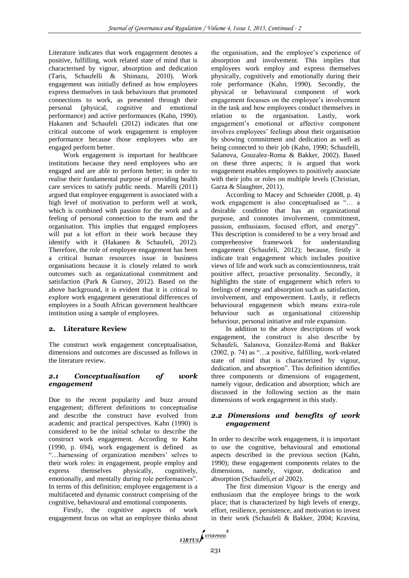Literature indicates that work engagement denotes a positive, fulfilling, work related state of mind that is characterised by vigour, absorption and dedication (Taris, Schaufelli & Shimazu, 2010). Work engagement was initially defined as how employees express themselves in task behaviours that promoted connections to work, as presented through their personal (physical, cognitive and emotional performance) and active performances (Kahn, 1990). Hakanen and Schaufeli (2012) indicates that one critical outcome of work engagement is employee performance because those employees who are engaged perform better.

Work engagement is important for healthcare institutions because they need employees who are engaged and are able to perform better; in order to realise their fundamental purpose of providing health care services to satisfy public needs. Marelli (2011) argued that employee engagement is associated with a high level of motivation to perform well at work, which is combined with passion for the work and a feeling of personal connection to the team and the organisation. This implies that engaged employees will put a lot effort in their work because they identify with it (Hakanen & Schaufeli, 2012). Therefore, the role of employee engagement has been a critical human resources issue in business organisations because it is closely related to work outcomes such as organizational commitment and satisfaction (Park & Gursoy, 2012). Based on the above background, it is evident that it is critical to explore work engagement generational differences of employees in a South African government healthcare institution using a sample of employees.

### **2. Literature Review**

The construct work engagement conceptualisation, dimensions and outcomes are discussed as follows in the literature review.

### *2.1 Conceptualisation of work engagement*

Due to the recent popularity and buzz around engagement; different definitions to conceptualise and describe the construct have evolved from academic and practical perspectives. Kahn (1990) is considered to be the initial scholar to describe the construct work engagement. According to Kahn (1990, p. 694), work engagement is defined as "…harnessing of organization members' selves to their work roles: in engagement, people employ and<br>express themselves physically, cognitively. express themselves physically, emotionally, and mentally during role performances". In terms of this definition; employee engagement is a multifaceted and dynamic construct comprising of the cognitive, behavioural and emotional components.

Firstly, the cognitive aspects of work engagement focus on what an employee thinks about

the organisation, and the employee's experience of absorption and involvement. This implies that employees work employ and express themselves physically, cognitively and emotionally during their role performance (Kahn, 1990). Secondly, the physical or behavioural component of work engagement focusses on the employee's involvement in the task and how employees conduct themselves in relation to the organisation. Lastly, work engagement's emotional or affective component involves employees' feelings about their organisation by showing commitment and dedication as well as being connected to their job (Kahn, 1990; Schaufelli, Salanova, Gouzalez-Roma & Bakker, 2002). Based on these three aspects; it is argued that work engagement enables employees to positively associate with their jobs or roles on multiple levels (Christian, Garza & Slaughter, 2011).

According to Macey and Schneider (2008, p. 4) work engagement is also conceptualised as "… a desirable condition that has an organizational purpose, and connotes involvement, commitment, passion, enthusiasm, focused effort, and energy". This description is considered to be a very broad and comprehensive framework for understanding engagement (Schaufeli, 2012); because, firstly it indicate trait engagement which includes positive views of life and work such as conscientiousness, trait positive affect, proactive personality. Secondly, it highlights the state of engagement which refers to feelings of energy and absorption such as satisfaction, involvement, and empowerment. Lastly, it reflects behavioural engagement which means extra-role behaviour such as organisational citizenship behaviour, personal initiative and role expansion.

In addition to the above descriptions of work engagement, the construct is also describe by Schaufeli, Salanova, Gonzàlez-Romá and Bakker (2002, p. 74) as "…a positive, fulfilling, work-related state of mind that is characterized by vigour, dedication, and absorption". This definition identifies three components or dimensions of engagement, namely vigour, dedication and absorption; which are discussed in the following section as the main dimensions of work engagement in this study.

### *2.2 Dimensions and benefits of work engagement*

In order to describe work engagement, it is important to use the cognitive, behavioural and emotional aspects described in the previous section (Kahn, 1990); these engagement components relates to the dimensions, namely, vigour, dedication and absorption (Schaufeli,*et al* 2002).

The first dimension *Vigour* is the energy and enthusiasm that the employee brings to the work place; that is characterized by high levels of energy, effort, resilience, persistence, and motivation to invest in their work (Schaufeli & Bakker, 2004; Kravina,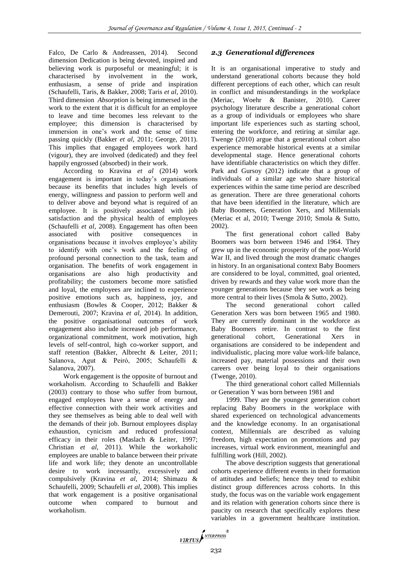Falco, De Carlo & Andreassen, 2014). Second dimension Dedication is being devoted, inspired and believing work is purposeful or meaningful; it is characterised by involvement in the work, enthusiasm, a sense of pride and inspiration (Schaufelli, Taris, & Bakker, 2008; Taris *et al*, 2010). Third dimension *Absorption* is being immersed in the work to the extent that it is difficult for an employee to leave and time becomes less relevant to the employee; this dimension is characterised by immersion in one's work and the sense of time passing quickly (Bakker *et al*, 2011; George, 2011). This implies that engaged employees work hard (vigour), they are involved (dedicated) and they feel happily engrossed (absorbed) in their work.

According to Kravina *et al* (2014) work engagement is important in today's organisations because its benefits that includes high levels of energy, willingness and passion to perform well and to deliver above and beyond what is required of an employee. It is positively associated with job satisfaction and the physical health of employees (Schaufelli *et al*, 2008). Engagement has often been associated with positive consequences in organisations because it involves employee's ability to identify with one's work and the feeling of profound personal connection to the task, team and organisation. The benefits of work engagement in organisations are also high productivity and profitability; the customers become more satisfied and loyal, the employees are inclined to experience positive emotions such as, happiness, joy, and enthusiasm (Bowles & Cooper, 2012; Bakker & Demerouti, 2007; Kravina *et al,* 2014). In addition, the positive organisational outcomes of work engagement also include increased job performance, organizational commitment, work motivation, high levels of self-control, high co-worker support, and staff retention (Bakker, Albrecht & Leiter, 2011; Salanova, Agut & Peiró, 2005; Schaufelli & Salanova, 2007).

Work engagement is the opposite of burnout and workaholism. According to Schaufelli and Bakker (2003) contrary to those who suffer from burnout, engaged employees have a sense of energy and effective connection with their work activities and they see themselves as being able to deal well with the demands of their job. Burnout employees display exhaustion, cynicism and reduced professional efficacy in their roles (Maslach & Leiter, 1997; Christian *et al*, 2011). While the workaholic employees are unable to balance between their private life and work life; they denote an uncontrollable desire to work incessantly, excessively and compulsively (Kravina *et al*, 2014; Shimazu & Schaufelli, 2009; Schaufelli *et al*, 2008). This implies that work engagement is a positive organisational outcome when compared to burnout and workaholism.

## *2.3 Generational differences*

It is an organisational imperative to study and understand generational cohorts because they hold different perceptions of each other, which can result in conflict and misunderstandings in the workplace (Meriac, Woehr & Banister, 2010). Career psychology literature describe a generational cohort as a group of individuals or employees who share important life experiences such as starting school, entering the workforce, and retiring at similar age. Twenge (2010) argue that a generational cohort also experience memorable historical events at a similar developmental stage. Hence generational cohorts have identifiable characteristics on which they differ. Park and Gursoy (2012) indicate that a group of individuals of a similar age who share historical experiences within the same time period are described as generation. There are three generational cohorts that have been identified in the literature, which are Baby Boomers, Generation Xers, and Millennials (Meriac et al, 2010; Twenge 2010; Smola & Sutto, 2002).

The first generational cohort called Baby Boomers was born between 1946 and 1964. They grew up in the economic prosperity of the post-World War II, and lived through the most dramatic changes in history. In an organisational context Baby Boomers are considered to be loyal, committed, goal oriented, driven by rewards and they value work more than the younger generations because they see work as being more central to their lives (Smola & Sutto, 2002).

The second generational cohort called Generation Xers was born between 1965 and 1980. They are currently dominant in the workforce as Baby Boomers retire. In contrast to the first generational cohort, Generational Xers in organisations are considered to be independent and individualistic, placing more value work-life balance, increased pay, material possessions and their own careers over being loyal to their organisations (Twenge, 2010).

The third generational cohort called Millennials or Generation Y was born between 1981 and

1999. They are the youngest generation cohort replacing Baby Boomers in the workplace with shared experienced on technological advancements and the knowledge economy. In an organisational context, Millennials are described as valuing freedom, high expectation on promotions and pay increases, virtual work environment, meaningful and fulfilling work (Hill, 2002).

The above description suggests that generational cohorts experience different events in their formation of attitudes and beliefs; hence they tend to exhibit distinct group differences across cohorts. In this study, the focus was on the variable work engagement and its relation with generation cohorts since there is paucity on research that specifically explores these variables in a government healthcare institution.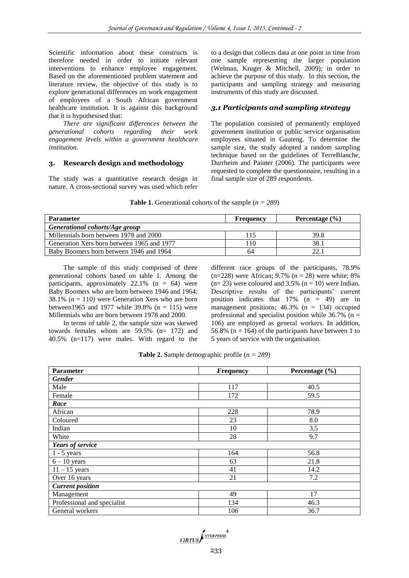Scientific information about these constructs is therefore needed in order to initiate relevant interventions to enhance employee engagement. Based on the aforementioned problem statement and literature review, the objective of this study is to explore generational differences on work engagement of employees of a South African government healthcare institution. It is against this background that it is hypothesised that:

*There are significant differences between the generational cohorts regarding their work engagement levels within a government healthcare institution.*

#### **3. Research design and methodology**

The study was a quantitative research design in nature. A cross-sectional survey was used which refer to a design that collects data at one point in time from one sample representing the larger population (Welman, Kruger & Mitchell, 2009); in order to achieve the purpose of this study. In this section, the participants and sampling strategy and measuring instruments of this study are discussed.

#### *3.1 Participants and sampling strategy*

The population consisted of permanently employed government institution or public service organisation employees situated in Gauteng. To determine the sample size, the study adopted a random sampling technique based on the guidelines of TerreBlanche, Durrheim and Painter (2006). The participants were requested to complete the questionnaire, resulting in a final sample size of 289 respondents.

| <b>Table 1.</b> Generational cohorts of the sample ( $n = 289$ ) |  |  |
|------------------------------------------------------------------|--|--|
|------------------------------------------------------------------|--|--|

| <b>Parameter</b>                           | <b>Frequency</b> | Percentage $(\% )$ |
|--------------------------------------------|------------------|--------------------|
| Generational cohorts/Age group             |                  |                    |
| Millennials born between 1978 and 2000     | 115              | 39.8               |
| Generation Xers born between 1965 and 1977 | 110              | 38.1               |
| Baby Boomers born between 1946 and 1964    | 64               | 22.1               |

The sample of this study comprised of three generational cohorts based on table 1. Among the participants, approximately  $22.1\%$  (n = 64) were Baby Boomers who are born between 1946 and 1964; 38.1% ( $n = 110$ ) were Generation Xers who are born between1965 and 1977 while  $39.8\%$  (n = 115) were Millennials who are born between 1978 and 2000.

In terms of table 2, the sample size was skewed towards females whom are 59.5% (n= 172) and 40.5% (n=117) were males. With regard to the different race groups of the participants, 78.9%  $(n=228)$  were African; 9.7%  $(n = 28)$  were white; 8%  $(n= 23)$  were coloured and 3.5%  $(n = 10)$  were Indian. Descriptive results of the participants' current position indicates that  $17\%$  (n = 49) are in management positions;  $46.3\%$  (n = 134) occupied professional and specialist position while  $36.7\%$  (n = 106) are employed as general workers. In addition, 56.8% ( $n = 164$ ) of the participants have between 1 to 5 years of service with the organisation.

|  |  | <b>Table 2.</b> Sample demographic profile ( $n = 289$ ) |  |  |  |
|--|--|----------------------------------------------------------|--|--|--|
|--|--|----------------------------------------------------------|--|--|--|

| <b>Parameter</b>            | <b>Frequency</b> | Percentage $(\% )$ |
|-----------------------------|------------------|--------------------|
| <b>Gender</b>               |                  |                    |
| Male                        | 117              | 40.5               |
| Female                      | 172              | 59.5               |
| Race                        |                  |                    |
| African                     | 228              | 78.9               |
| Coloured                    | 23               | 8.0                |
| Indian                      | 10               | 3.5                |
| White                       | 28               | 9.7                |
| Years of service            |                  |                    |
| $1 - 5$ years               | 164              | 56.8               |
| $6 - 10$ years              | 63               | 21.8               |
| $11 - 15$ years             | 41               | 14.2               |
| Over 16 years               | 21               | 7.2                |
| <b>Current position</b>     |                  |                    |
| Management                  | 49               | 17                 |
| Professional and specialist | 134              | 46.3               |
| General workers             | 106              | 36.7               |

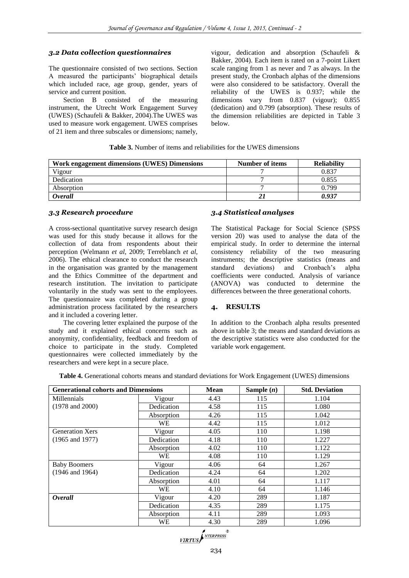## *3.2 Data collection questionnaires*

The questionnaire consisted of two sections. Section A measured the participants' biographical details which included race, age group, gender, years of service and current position.

Section B consisted of the measuring instrument, the Utrecht Work Engagement Survey (UWES) (Schaufeli & Bakker, 2004).The UWES was used to measure work engagement. UWES comprises of 21 item and three subscales or dimensions; namely, vigour, dedication and absorption (Schaufeli & Bakker, 2004). Each item is rated on a 7-point Likert scale ranging from 1 as never and 7 as always. In the present study, the Cronbach alphas of the dimensions were also considered to be satisfactory. Overall the reliability of the UWES is 0.937; while the dimensions vary from 0.837 (vigour); 0.855 (dedication) and 0.799 (absorption). These results of the dimension reliabilities are depicted in Table 3 below.

| <b>Table 3.</b> Number of items and reliabilities for the UWES dimensions |  |  |  |  |  |
|---------------------------------------------------------------------------|--|--|--|--|--|
|---------------------------------------------------------------------------|--|--|--|--|--|

| Work engagement dimensions (UWES) Dimensions | Number of items | <b>Reliability</b> |
|----------------------------------------------|-----------------|--------------------|
| Vigour                                       |                 | 0.837              |
| Dedication                                   |                 | 0.855              |
| Absorption                                   |                 | 0.799              |
| <i><b>Overall</b></i>                        |                 | 0.937              |

### *3.3 Research procedure*

A cross-sectional quantitative survey research design was used for this study because it allows for the collection of data from respondents about their perception (Welmann *et al*, 2009; Terreblanch *et al*, 2006). The ethical clearance to conduct the research in the organisation was granted by the management and the Ethics Committee of the department and research institution. The invitation to participate voluntarily in the study was sent to the employees. The questionnaire was completed during a group administration process facilitated by the researchers and it included a covering letter.

The covering letter explained the purpose of the study and it explained ethical concerns such as anonymity, confidentiality, feedback and freedom of choice to participate in the study. Completed questionnaires were collected immediately by the researchers and were kept in a secure place.

### *3.4 Statistical analyses*

The Statistical Package for Social Science (SPSS version 20) was used to analyse the data of the empirical study. In order to determine the internal consistency reliability of the two measuring instruments; the descriptive statistics (means and standard deviations) and Cronbach's alpha coefficients were conducted. Analysis of variance (ANOVA) was conducted to determine the differences between the three generational cohorts.

### **4. RESULTS**

In addition to the Cronbach alpha results presented above in table 3; the means and standard deviations as the descriptive statistics were also conducted for the variable work engagement.

**Table 4.** Generational cohorts means and standard deviations for Work Engagement (UWES) dimensions

| <b>Generational cohorts and Dimensions</b> |            | <b>Mean</b> | Sample $(n)$ | <b>Std. Deviation</b> |
|--------------------------------------------|------------|-------------|--------------|-----------------------|
| <b>Millennials</b>                         | Vigour     | 4.43        | 115          | 1.104                 |
| $(1978 \text{ and } 2000)$                 | Dedication | 4.58        | 115          | 1.080                 |
|                                            | Absorption | 4.26        | 115          | 1.042                 |
|                                            | WE         | 4.42        | 115          | 1.012                 |
| <b>Generation Xers</b>                     | Vigour     | 4.05        | 110          | 1.198                 |
| $(1965 \text{ and } 1977)$                 | Dedication | 4.18        | 110          | 1.227                 |
|                                            | Absorption | 4.02        | 110          | 1.122                 |
|                                            | <b>WE</b>  | 4.08        | 110          | 1.129                 |
| <b>Baby Boomers</b>                        | Vigour     | 4.06        | 64           | 1.267                 |
| $(1946$ and $1964)$                        | Dedication | 4.24        | 64           | 1.202                 |
|                                            | Absorption | 4.01        | 64           | 1.117                 |
|                                            | <b>WE</b>  | 4.10        | 64           | 1.146                 |
| Overall                                    | Vigour     | 4.20        | 289          | 1.187                 |
|                                            | Dedication | 4.35        | 289          | 1.175                 |
|                                            | Absorption | 4.11        | 289          | 1.093                 |
|                                            | WЕ         | 4.30        | 289          | 1.096                 |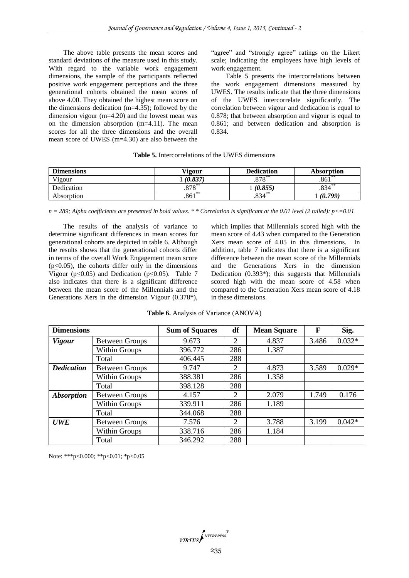The above table presents the mean scores and standard deviations of the measure used in this study. With regard to the variable work engagement dimensions, the sample of the participants reflected positive work engagement perceptions and the three generational cohorts obtained the mean scores of above 4.00. They obtained the highest mean score on the dimensions dedication (m=4.35); followed by the dimension vigour (m=4.20) and the lowest mean was on the dimension absorption (m=4.11). The mean scores for all the three dimensions and the overall mean score of UWES (m=4.30) are also between the

"agree" and "strongly agree" ratings on the Likert scale; indicating the employees have high levels of work engagement.

Table 5 presents the intercorrelations between the work engagement dimensions measured by UWES. The results indicate that the three dimensions of the UWES intercorrelate significantly. The correlation between vigour and dedication is equal to 0.878; that between absorption and vigour is equal to 0.861; and between dedication and absorption is 0.834.

| <b>Table 5.</b> Intercorrelations of the UWES dimensions |  |  |  |
|----------------------------------------------------------|--|--|--|
|----------------------------------------------------------|--|--|--|

| <b>Dimensions</b> | Vigour        | <b>Dedication</b> | <b>Absorption</b> |
|-------------------|---------------|-------------------|-------------------|
| Vigour            | (0.837)       | $.878***$         | **<br>.861        |
| Dedication        | 070<br>ه ۱ ه. | (0.855)           | .834              |
| Absorption        | $.861***$     | $.834***$         | (0.799)           |

*n = 289; Alpha coefficients are presented in bold values. \* \* Correlation is significant at the 0.01 level (2 tailed): p<=0.01*

The results of the analysis of variance to determine significant differences in mean scores for generational cohorts are depicted in table 6. Although the results shows that the generational cohorts differ in terms of the overall Work Engagement mean score  $(p<0.05)$ , the cohorts differ only in the dimensions Vigour ( $p<0.05$ ) and Dedication ( $p<0.05$ ). Table 7 also indicates that there is a significant difference between the mean score of the Millennials and the Generations Xers in the dimension Vigour (0.378\*),

which implies that Millennials scored high with the mean score of 4.43 when compared to the Generation Xers mean score of 4.05 in this dimensions. In addition, table 7 indicates that there is a significant difference between the mean score of the Millennials and the Generations Xers in the dimension Dedication (0.393\*); this suggests that Millennials scored high with the mean score of 4.58 when compared to the Generation Xers mean score of 4.18 in these dimensions.

|  |  | Table 6. Analysis of Variance (ANOVA) |  |
|--|--|---------------------------------------|--|
|--|--|---------------------------------------|--|

| <b>Dimensions</b>        |                       | <b>Sum of Squares</b> | df             | <b>Mean Square</b> | $\mathbf F$ | Sig.     |
|--------------------------|-----------------------|-----------------------|----------------|--------------------|-------------|----------|
| <b>Vigour</b>            | <b>Between Groups</b> | 9.673                 | $\overline{2}$ | 4.837              | 3.486       | $0.032*$ |
|                          | Within Groups         | 396.772               | 286            | 1.387              |             |          |
|                          | Total                 | 406.445               | 288            |                    |             |          |
| <b>Dedication</b>        | <b>Between Groups</b> | 9.747                 | $\overline{2}$ | 4.873              | 3.589       | $0.029*$ |
|                          | Within Groups         | 388.381               | 286            | 1.358              |             |          |
|                          | Total                 | 398.128               | 288            |                    |             |          |
| <i><b>Absorption</b></i> | <b>Between Groups</b> | 4.157                 | $\overline{2}$ | 2.079              | 1.749       | 0.176    |
|                          | Within Groups         | 339.911               | 286            | 1.189              |             |          |
|                          | Total                 | 344.068               | 288            |                    |             |          |
| <b>UWE</b>               | <b>Between Groups</b> | 7.576                 | $\overline{2}$ | 3.788              | 3.199       | $0.042*$ |
|                          | Within Groups         | 338.716               | 286            | 1.184              |             |          |
|                          | Total                 | 346.292               | 288            |                    |             |          |

Note: \*\*\*p<0.000; \*\*p<0.01; \*p<0.05

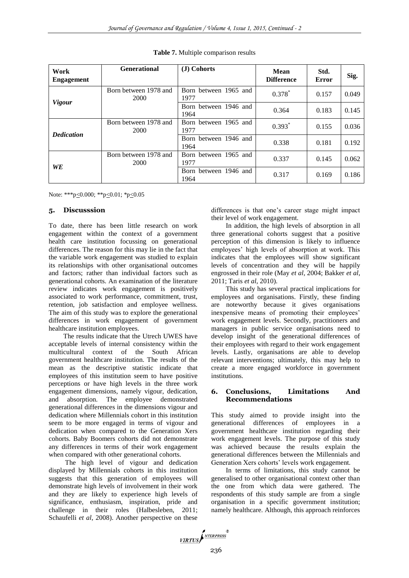| Work<br><b>Engagement</b> | <b>Generational</b>           | (J) Cohorts                   | Mean<br><b>Difference</b> | Std.<br>Error | Sig.  |
|---------------------------|-------------------------------|-------------------------------|---------------------------|---------------|-------|
|                           | Born between 1978 and<br>2000 | Born between 1965 and<br>1977 | $0.378*$                  | 0.157         | 0.049 |
| <b>Vigour</b>             |                               | Born between 1946 and<br>1964 | 0.364                     | 0.183         | 0.145 |
| <b>Dedication</b>         | Born between 1978 and<br>2000 | Born between 1965 and<br>1977 | $0.393*$                  | 0.155         | 0.036 |
|                           |                               | Born between 1946 and<br>1964 | 0.338                     | 0.181         | 0.192 |
| WE                        | Born between 1978 and<br>2000 | Born between 1965 and<br>1977 | 0.337                     | 0.145         | 0.062 |
|                           |                               | Born between 1946 and<br>1964 | 0.317                     | 0.169         | 0.186 |

**Table 7.** Multiple comparison results

Note: \*\*\*p<0.000; \*\*p<0.01; \*p<0.05

#### **5. Discusssion**

To date, there has been little research on work engagement within the context of a government health care institution focussing on generational differences. The reason for this may lie in the fact that the variable work engagement was studied to explain its relationships with other organisational outcomes and factors; rather than individual factors such as generational cohorts. An examination of the literature review indicates work engagement is positively associated to work performance, commitment, trust, retention, job satisfaction and employee wellness. The aim of this study was to explore the generational differences in work engagement of government healthcare institution employees.

The results indicate that the Utrech UWES have acceptable levels of internal consistency within the multicultural context of the South African government healthcare institution. The results of the mean as the descriptive statistic indicate that employees of this institution seem to have positive perceptions or have high levels in the three work engagement dimensions, namely vigour, dedication, and absorption. The employee demonstrated generational differences in the dimensions vigour and dedication where Millennials cohort in this institution seem to be more engaged in terms of vigour and dedication when compared to the Generation Xers cohorts. Baby Boomers cohorts did not demonstrate any differences in terms of their work engagement when compared with other generational cohorts.

The high level of vigour and dedication displayed by Millennials cohorts in this institution suggests that this generation of employees will demonstrate high levels of involvement in their work and they are likely to experience high levels of significance, enthusiasm, inspiration, pride and challenge in their roles (Halbesleben, 2011; Schaufelli *et al*, 2008). Another perspective on these

differences is that one's career stage might impact their level of work engagement.

In addition, the high levels of absorption in all three generational cohorts suggest that a positive perception of this dimension is likely to influence employees' high levels of absorption at work. This indicates that the employees will show significant levels of concentration and they will be happily engrossed in their role (May *et al*, 2004; Bakker *et al*, 2011; Taris *et al*, 2010).

This study has several practical implications for employees and organisations. Firstly, these finding are noteworthy because it gives organisations inexpensive means of promoting their employees' work engagement levels. Secondly, practitioners and managers in public service organisations need to develop insight of the generational differences of their employees with regard to their work engagement levels. Lastly, organisations are able to develop relevant interventions; ultimately, this may help to create a more engaged workforce in government institutions.

### **6. Conclusions, Limitations And Recommendations**

This study aimed to provide insight into the generational differences of employees in a government healthcare institution regarding their work engagement levels. The purpose of this study was achieved because the results explain the generational differences between the Millennials and Generation Xers cohorts' levels work engagement.

In terms of limitations, this study cannot be generalised to other organisational context other than the one from which data were gathered. The respondents of this study sample are from a single organisation in a specific government institution; namely healthcare. Although, this approach reinforces

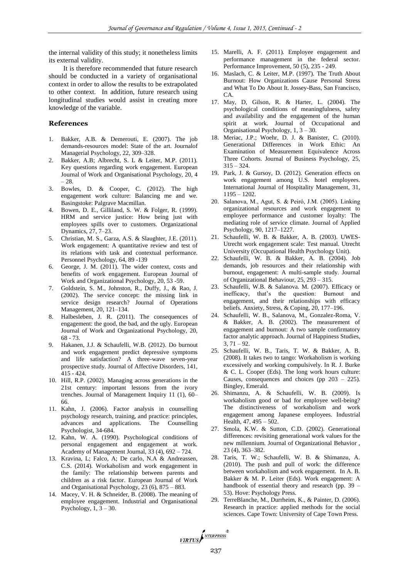the internal validity of this study; it nonetheless limits its external validity.

It is therefore recommended that future research should be conducted in a variety of organisational context in order to allow the results to be extrapolated to other context. In addition, future research using longitudinal studies would assist in creating more knowledge of the variable.

## **References**

- 1. Bakker, A.B. & Demerouti, E. (2007). The job demands-resources model: State of the art. Journalof Managerial Psychology, 22, 309–328.
- 2. Bakker, A.B; Albrecht, S. L & Leiter, M.P. (2011). Key questions regarding work engagement. European Journal of Work and Organisational Psychology, 20, 4 – 28.
- 3. Bowles, D. & Cooper, C. (2012). The high engagement work culture: Balancing me and we. Basingstoke: Palgrave Macmillan.
- 4. Bowen, D. E., Gilliland, S. W. & Folger, R. (1999). HRM and service justice: How being just with employees spills over to customers. Organizational Dynamics, 27, 7–23.
- 5. Christian, M. S., Garza, A.S. & Slaughter, J.E. (2011). Work engagement: A quantitative review and test of its relations with task and contextual performance. Personnel Psychology, 64, 89 -139
- 6. George, J. M. (2011). The wider context, costs and benefits of work engagement. European Journal of Work and Organizational Psychology, 20, 53 -59.
- 7. Goldstein, S. M., Johnston, R., Duffy, J., & Rao, J. (2002). The service concept: the missing link in service design research? Journal of Operations Management, 20, 121–134.
- 8. Halbesleben, J. R. (2011). The consequences of engagement: the good, the bad, and the ugly. European Journal of Work and Organizational Psychology, 20, 68 - 73.
- 9. Hakanen, J.J. & Schaufelli, W.B. (2012). Do burnout and work engagement predict depressive symptoms and life satisfaction? A three-wave seven-year prospective study. Journal of Affective Disorders, 141, 415 - 424.
- 10. Hill, R.P. (2002). Managing across generations in the 21st century: important lessons from the ivory trenches. Journal of Management Inquiry 11 (1), 60– 66.
- 11. Kahn, J. (2006). Factor analysis in counselling psychology research, training, and practice: principles, advances and applications. The Counselling Psychologist, 34-684.
- 12. Kahn, W. A. (1990). Psychological conditions of personal engagement and engagement at work. Academy of Management Journal, 33 (4), 692 – 724.
- 13. Kravina, L; Falco, A; De carlo, N.A & Andreassen, C.S. (2014). Workaholism and work engagement in the family: The relationship between parents and children as a risk factor. European Journal of Work and Organisational Psychology, 23 (6), 875 – 883.
- 14. Macey, V. H. & Schneider, B. (2008). The meaning of employee engagement. Industrial and Organisational Psychology,  $1, 3 - 30$ .
- 15. Marelli, A. F. (2011). Employee engagement and performance management in the federal sector. Performance Improvement, 50 (5), 235 - 249.
- 16. Maslach, C. & Leiter, M.P. (1997). The Truth About Burnout: How Organizations Cause Personal Stress and What To Do About It. Jossey-Bass, San Francisco, CA.
- 17. May, D, Gilson, R. & Harter, L. (2004). The psychological conditions of meaningfulness, safety and availability and the engagement of the human spirit at work. Journal of Occupational Organisational Psychology, 1, 3 – 30.
- 18. Meriac, J.P.; Woehr, D. J. & Banister, C. (2010). Generational Differences in Work Ethic: An Examination of Measurement Equivalence Across Three Cohorts. Journal of Business Psychology, 25,  $315 - 324.$
- 19. Park, J. & Gursoy, D. (2012). Generation effects on work engagement among U.S. hotel employees. International Journal of Hospitality Management, 31, 1195 – 1202.
- 20. Salanova, M., Agut, S. & Peiró, J.M. (2005). Linking organizational resources and work engagement to employee performance and customer loyalty: The mediating role of service climate. Journal of Applied Psychology, 90, 1217–1227.
- 21. Schaufelli, W. B. & Bakker, A. B. (2003). UWES-Utrecht work engagement scale: Test manual. Utrecht University (Occupational Health Psychology Unit).
- 22. Schaufelli, W. B. & Bakker, A. B. (2004). Job demands, job resources and their relationship with burnout, engagement: A multi-sample study. Journal of Organizational Behaviour, 25, 293 – 315.
- 23. Schaufelli, W.B. & Salanova. M. (2007). Efficacy or inefficacy, that's the question: Burnout and engagement, and their relationships with efficacy beliefs. Anxiety, Stress, & Coping, 20, 177–196.
- 24. Schaufelli, W. B., Salanova, M., Gonzalez-Roma, V. & Bakker, A. B. (2002). The measurement of engagement and burnout: A two sample confirmatory factor analytic approach. Journal of Happiness Studies,  $3, 71 - 92.$
- 25. Schaufelli, W. B., Taris, T. W. & Bakker, A. B. (2008). It takes two to tango: Workaholism is working excessively and working compulsively. In R. J. Burke & C. L. Cooper (Eds). The long work hours culture: Causes, consequences and choices (pp 203 – 225). Bingley, Emerald.
- 26. Shimanzu, A. & Schaufelli, W. B. (2009). Is workaholism good or bad for employee well-being? The distinctiveness of workaholism and work engagement among Japanese employees. Industrial Health, 47, 495 – 502.
- 27. Smola, K.W. & Sutton, C.D. (2002). Generational differences: revisiting generational work values for the new millennium. Journal of Organizational Behavior , 23 (4), 363–382.
- 28. Taris, T. W.; Schaufelli, W. B. & Shimanzu, A. (2010). The push and pull of work: the difference between workaholism and work engagement. In A. B. Bakker & M. P. Leiter (Eds). Work engagement: A handbook of essential theory and research (pp. 39 – 53). Hove: Psychology Press.
- 29. TerreBlanche, M., Durrheim, K., & Painter, D. (2006). Research in practice: applied methods for the social sciences. Cape Town: University of Cape Town Press.

VIRTUS